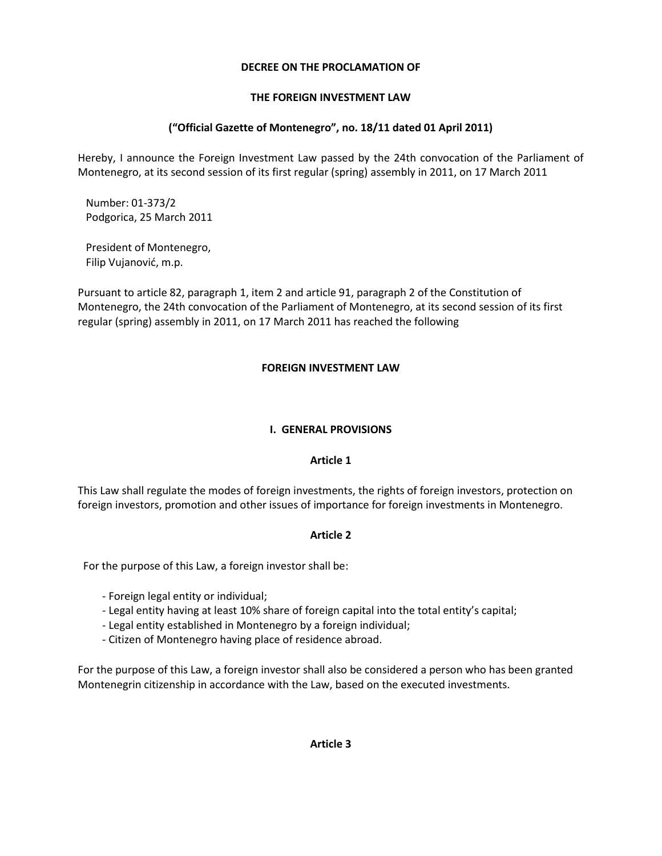## **DECREE ON THE PROCLAMATION OF**

## **THE FOREIGN INVESTMENT LAW**

# **("Official Gazette of Montenegro", no. 18/11 dated 01 April 2011)**

Hereby, I announce the Foreign Investment Law passed by the 24th convocation of the Parliament of Montenegro, at its second session of its first regular (spring) assembly in 2011, on 17 March 2011

 Number: 01-373/2 Podgorica, 25 March 2011

 President of Montenegro, Filip Vujanović, m.p.

Pursuant to article 82, paragraph 1, item 2 and article 91, paragraph 2 of the Constitution of Montenegro, the 24th convocation of the Parliament of Montenegro, at its second session of its first regular (spring) assembly in 2011, on 17 March 2011 has reached the following

## **FOREIGN INVESTMENT LAW**

#### **I. GENERAL PROVISIONS**

## **Article 1**

This Law shall regulate the modes of foreign investments, the rights of foreign investors, protection on foreign investors, promotion and other issues of importance for foreign investments in Montenegro.

## **Article 2**

For the purpose of this Law, a foreign investor shall be:

- Foreign legal entity or individual;
- Legal entity having at least 10% share of foreign capital into the total entity's capital;
- Legal entity established in Montenegro by a foreign individual;
- Citizen of Montenegro having place of residence abroad.

For the purpose of this Law, a foreign investor shall also be considered a person who has been granted Montenegrin citizenship in accordance with the Law, based on the executed investments.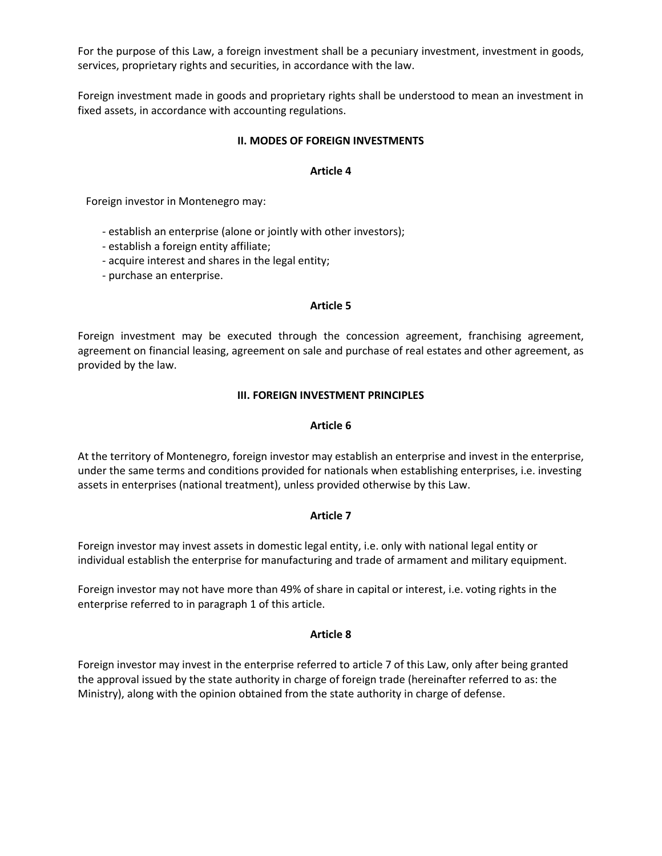For the purpose of this Law, a foreign investment shall be a pecuniary investment, investment in goods, services, proprietary rights and securities, in accordance with the law.

Foreign investment made in goods and proprietary rights shall be understood to mean an investment in fixed assets, in accordance with accounting regulations.

#### **II. MODES OF FOREIGN INVESTMENTS**

#### **Article 4**

Foreign investor in Montenegro may:

- establish an enterprise (alone or jointly with other investors);
- establish a foreign entity affiliate;
- acquire interest and shares in the legal entity;
- purchase an enterprise.

#### **Article 5**

Foreign investment may be executed through the concession agreement, franchising agreement, agreement on financial leasing, agreement on sale and purchase of real estates and other agreement, as provided by the law.

#### **III. FOREIGN INVESTMENT PRINCIPLES**

#### **Article 6**

At the territory of Montenegro, foreign investor may establish an enterprise and invest in the enterprise, under the same terms and conditions provided for nationals when establishing enterprises, i.e. investing assets in enterprises (national treatment), unless provided otherwise by this Law.

## **Article 7**

Foreign investor may invest assets in domestic legal entity, i.e. only with national legal entity or individual establish the enterprise for manufacturing and trade of armament and military equipment.

Foreign investor may not have more than 49% of share in capital or interest, i.e. voting rights in the enterprise referred to in paragraph 1 of this article.

## **Article 8**

Foreign investor may invest in the enterprise referred to article 7 of this Law, only after being granted the approval issued by the state authority in charge of foreign trade (hereinafter referred to as: the Ministry), along with the opinion obtained from the state authority in charge of defense.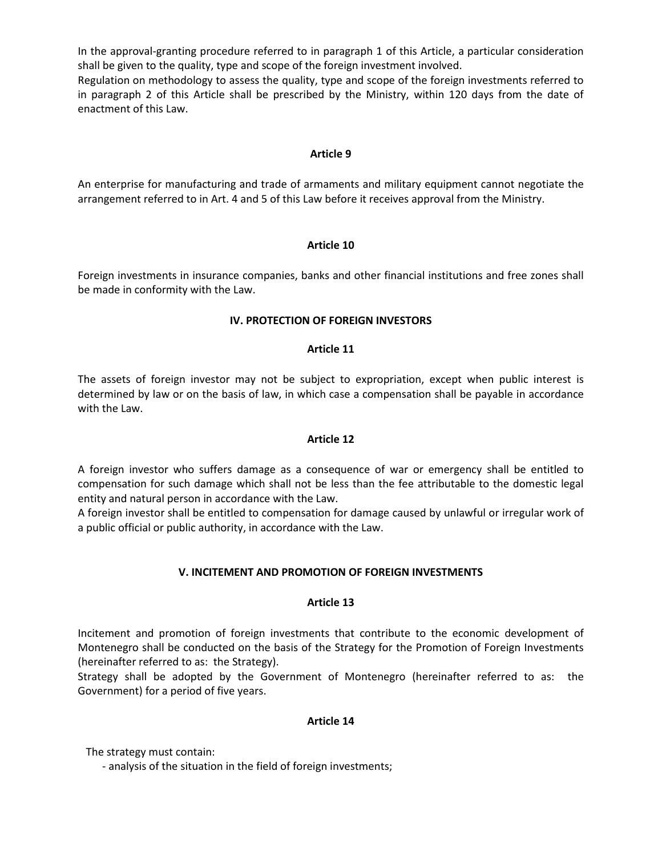In the approval-granting procedure referred to in paragraph 1 of this Article, a particular consideration shall be given to the quality, type and scope of the foreign investment involved.

Regulation on methodology to assess the quality, type and scope of the foreign investments referred to in paragraph 2 of this Article shall be prescribed by the Ministry, within 120 days from the date of enactment of this Law.

#### **Article 9**

An enterprise for manufacturing and trade of armaments and military equipment cannot negotiate the arrangement referred to in Art. 4 and 5 of this Law before it receives approval from the Ministry.

#### **Article 10**

Foreign investments in insurance companies, banks and other financial institutions and free zones shall be made in conformity with the Law.

#### **IV. PROTECTION OF FOREIGN INVESTORS**

#### **Article 11**

The assets of foreign investor may not be subject to expropriation, except when public interest is determined by law or on the basis of law, in which case a compensation shall be payable in accordance with the Law.

#### **Article 12**

A foreign investor who suffers damage as a consequence of war or emergency shall be entitled to compensation for such damage which shall not be less than the fee attributable to the domestic legal entity and natural person in accordance with the Law.

A foreign investor shall be entitled to compensation for damage caused by unlawful or irregular work of a public official or public authority, in accordance with the Law.

## **V. INCITEMENT AND PROMOTION OF FOREIGN INVESTMENTS**

#### **Article 13**

Incitement and promotion of foreign investments that contribute to the economic development of Montenegro shall be conducted on the basis of the Strategy for the Promotion of Foreign Investments (hereinafter referred to as: the Strategy).

Strategy shall be adopted by the Government of Montenegro (hereinafter referred to as: the Government) for a period of five years.

#### **Article 14**

The strategy must contain:

- analysis of the situation in the field of foreign investments;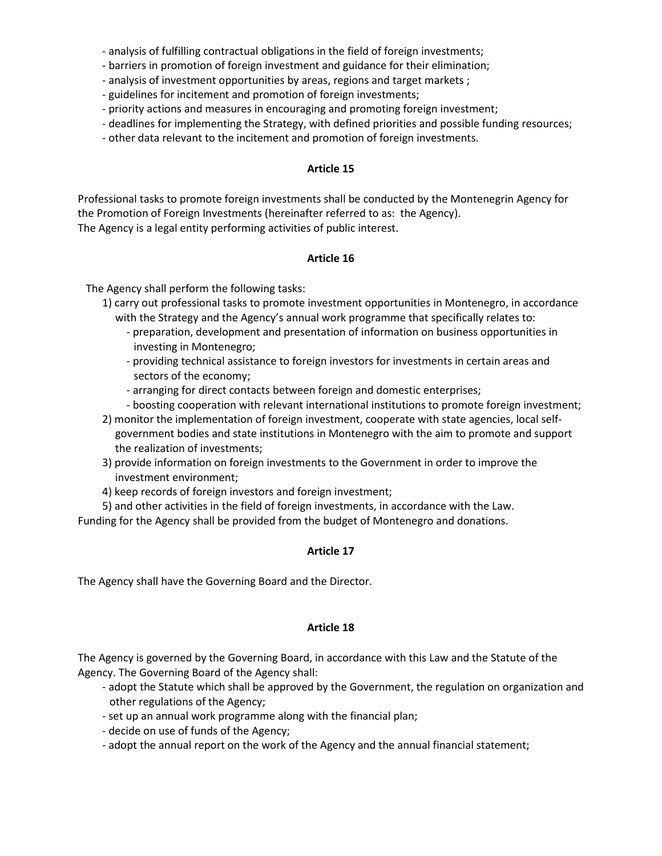- analysis of fulfilling contractual obligations in the field of foreign investments;

- barriers in promotion of foreign investment and guidance for their elimination;
- analysis of investment opportunities by areas, regions and target markets ;
- guidelines for incitement and promotion of foreign investments;
- priority actions and measures in encouraging and promoting foreign investment;
- deadlines for implementing the Strategy, with defined priorities and possible funding resources;
- other data relevant to the incitement and promotion of foreign investments.

## **Article 15**

Professional tasks to promote foreign investments shall be conducted by the Montenegrin Agency for the Promotion of Foreign Investments (hereinafter referred to as: the Agency). The Agency is a legal entity performing activities of public interest.

## **Article 16**

The Agency shall perform the following tasks:

- 1) carry out professional tasks to promote investment opportunities in Montenegro, in accordance with the Strategy and the Agency's annual work programme that specifically relates to:
	- preparation, development and presentation of information on business opportunities in investing in Montenegro;
	- providing technical assistance to foreign investors for investments in certain areas and sectors of the economy;
	- arranging for direct contacts between foreign and domestic enterprises;
	- boosting cooperation with relevant international institutions to promote foreign investment;
- 2) monitor the implementation of foreign investment, cooperate with state agencies, local selfgovernment bodies and state institutions in Montenegro with the aim to promote and support the realization of investments;
- 3) provide information on foreign investments to the Government in order to improve the investment environment;
- 4) keep records of foreign investors and foreign investment;

5) and other activities in the field of foreign investments, in accordance with the Law.

Funding for the Agency shall be provided from the budget of Montenegro and donations.

## **Article 17**

The Agency shall have the Governing Board and the Director.

## **Article 18**

The Agency is governed by the Governing Board, in accordance with this Law and the Statute of the Agency. The Governing Board of the Agency shall:

- adopt the Statute which shall be approved by the Government, the regulation on organization and other regulations of the Agency;
- set up an annual work programme along with the financial plan;
- decide on use of funds of the Agency;
- adopt the annual report on the work of the Agency and the annual financial statement;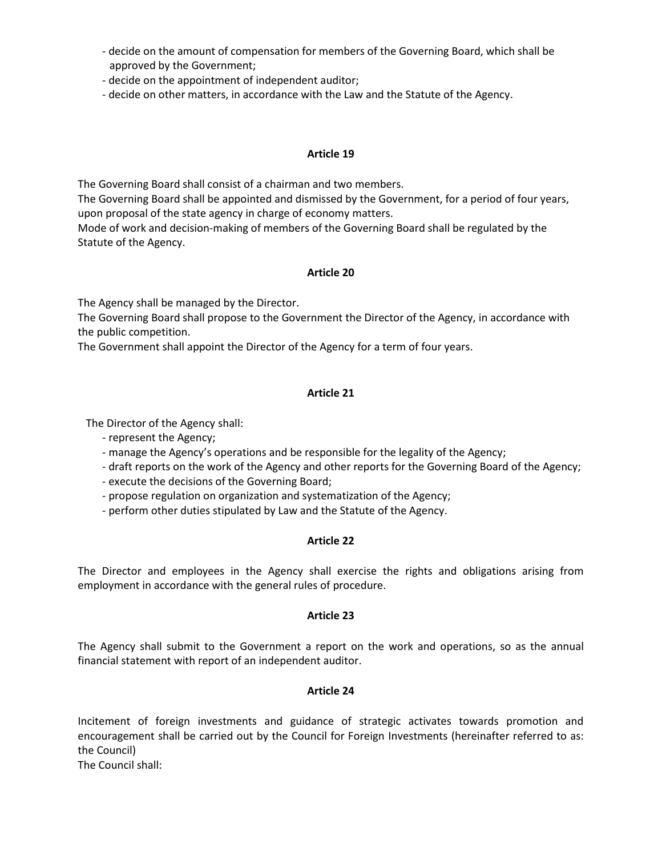- decide on the amount of compensation for members of the Governing Board, which shall be approved by the Government;
- decide on the appointment of independent auditor;
- decide on other matters, in accordance with the Law and the Statute of the Agency.

## **Article 19**

The Governing Board shall consist of a chairman and two members.

The Governing Board shall be appointed and dismissed by the Government, for a period of four years, upon proposal of the state agency in charge of economy matters.

Mode of work and decision-making of members of the Governing Board shall be regulated by the Statute of the Agency.

#### **Article 20**

The Agency shall be managed by the Director.

The Governing Board shall propose to the Government the Director of the Agency, in accordance with the public competition.

The Government shall appoint the Director of the Agency for a term of four years.

# **Article 21**

The Director of the Agency shall:

- represent the Agency;
- manage the Agency's operations and be responsible for the legality of the Agency;
- draft reports on the work of the Agency and other reports for the Governing Board of the Agency;
- execute the decisions of the Governing Board;
- propose regulation on organization and systematization of the Agency;
- perform other duties stipulated by Law and the Statute of the Agency.

## **Article 22**

The Director and employees in the Agency shall exercise the rights and obligations arising from employment in accordance with the general rules of procedure.

## **Article 23**

The Agency shall submit to the Government a report on the work and operations, so as the annual financial statement with report of an independent auditor.

## **Article 24**

Incitement of foreign investments and guidance of strategic activates towards promotion and encouragement shall be carried out by the Council for Foreign Investments (hereinafter referred to as: the Council)

The Council shall: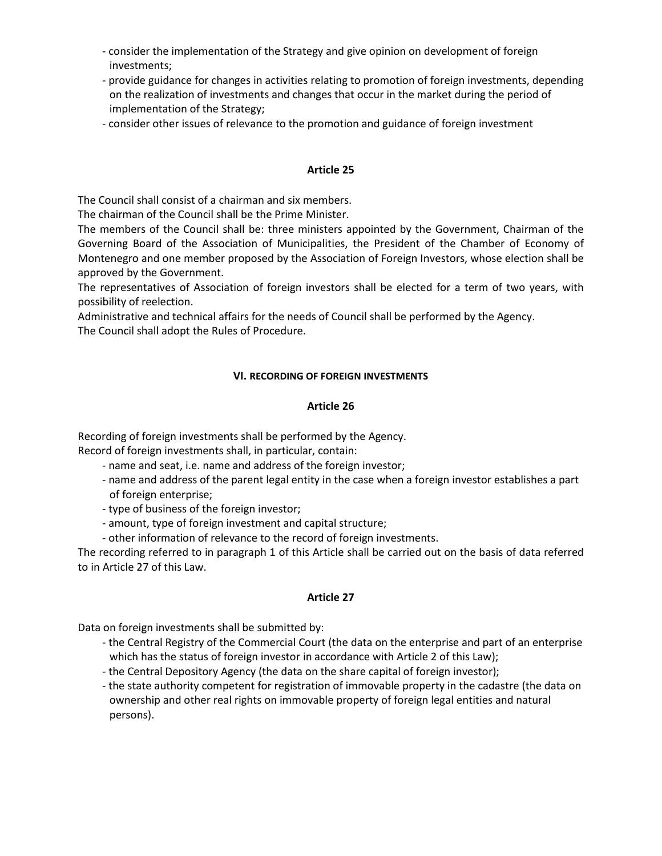- consider the implementation of the Strategy and give opinion on development of foreign investments;
- provide guidance for changes in activities relating to promotion of foreign investments, depending on the realization of investments and changes that occur in the market during the period of implementation of the Strategy;
- consider other issues of relevance to the promotion and guidance of foreign investment

## **Article 25**

The Council shall consist of a chairman and six members.

The chairman of the Council shall be the Prime Minister.

The members of the Council shall be: three ministers appointed by the Government, Chairman of the Governing Board of the Association of Municipalities, the President of the Chamber of Economy of Montenegro and one member proposed by the Association of Foreign Investors, whose election shall be approved by the Government.

The representatives of Association of foreign investors shall be elected for a term of two years, with possibility of reelection.

Administrative and technical affairs for the needs of Council shall be performed by the Agency. The Council shall adopt the Rules of Procedure.

## **VI. RECORDING OF FOREIGN INVESTMENTS**

## **Article 26**

Recording of foreign investments shall be performed by the Agency. Record of foreign investments shall, in particular, contain:

- name and seat, i.e. name and address of the foreign investor;
- name and address of the parent legal entity in the case when a foreign investor establishes a part of foreign enterprise;
- type of business of the foreign investor;
- amount, type of foreign investment and capital structure;
- other information of relevance to the record of foreign investments.

The recording referred to in paragraph 1 of this Article shall be carried out on the basis of data referred to in Article 27 of this Law.

## **Article 27**

Data on foreign investments shall be submitted by:

- the Central Registry of the Commercial Court (the data on the enterprise and part of an enterprise which has the status of foreign investor in accordance with Article 2 of this Law);
- the Central Depository Agency (the data on the share capital of foreign investor);
- the state authority competent for registration of immovable property in the cadastre (the data on ownership and other real rights on immovable property of foreign legal entities and natural persons).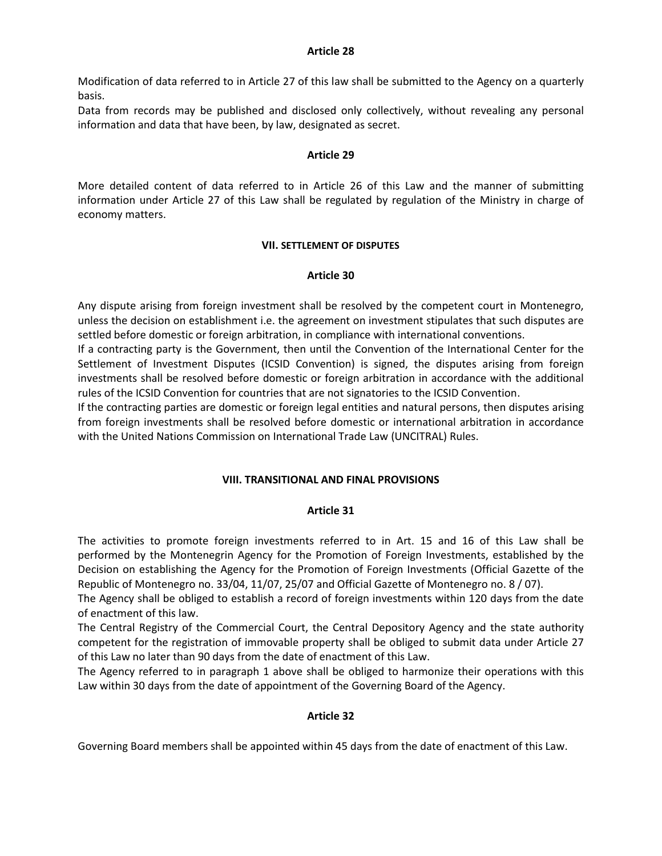#### **Article 28**

Modification of data referred to in Article 27 of this law shall be submitted to the Agency on a quarterly basis.

Data from records may be published and disclosed only collectively, without revealing any personal information and data that have been, by law, designated as secret.

#### **Article 29**

More detailed content of data referred to in Article 26 of this Law and the manner of submitting information under Article 27 of this Law shall be regulated by regulation of the Ministry in charge of economy matters.

## **VII. SETTLEMENT OF DISPUTES**

#### **Article 30**

Any dispute arising from foreign investment shall be resolved by the competent court in Montenegro, unless the decision on establishment i.e. the agreement on investment stipulates that such disputes are settled before domestic or foreign arbitration, in compliance with international conventions.

If a contracting party is the Government, then until the Convention of the International Center for the Settlement of Investment Disputes (ICSID Convention) is signed, the disputes arising from foreign investments shall be resolved before domestic or foreign arbitration in accordance with the additional rules of the ICSID Convention for countries that are not signatories to the ICSID Convention.

If the contracting parties are domestic or foreign legal entities and natural persons, then disputes arising from foreign investments shall be resolved before domestic or international arbitration in accordance with the United Nations Commission on International Trade Law (UNCITRAL) Rules.

## **VIII. TRANSITIONAL AND FINAL PROVISIONS**

#### **Article 31**

The activities to promote foreign investments referred to in Art. 15 and 16 of this Law shall be performed by the Montenegrin Agency for the Promotion of Foreign Investments, established by the Decision on establishing the Agency for the Promotion of Foreign Investments (Official Gazette of the Republic of Montenegro no. 33/04, 11/07, 25/07 and Official Gazette of Montenegro no. 8 / 07).

The Agency shall be obliged to establish a record of foreign investments within 120 days from the date of enactment of this law.

The Central Registry of the Commercial Court, the Central Depository Agency and the state authority competent for the registration of immovable property shall be obliged to submit data under Article 27 of this Law no later than 90 days from the date of enactment of this Law.

The Agency referred to in paragraph 1 above shall be obliged to harmonize their operations with this Law within 30 days from the date of appointment of the Governing Board of the Agency.

## **Article 32**

Governing Board members shall be appointed within 45 days from the date of enactment of this Law.